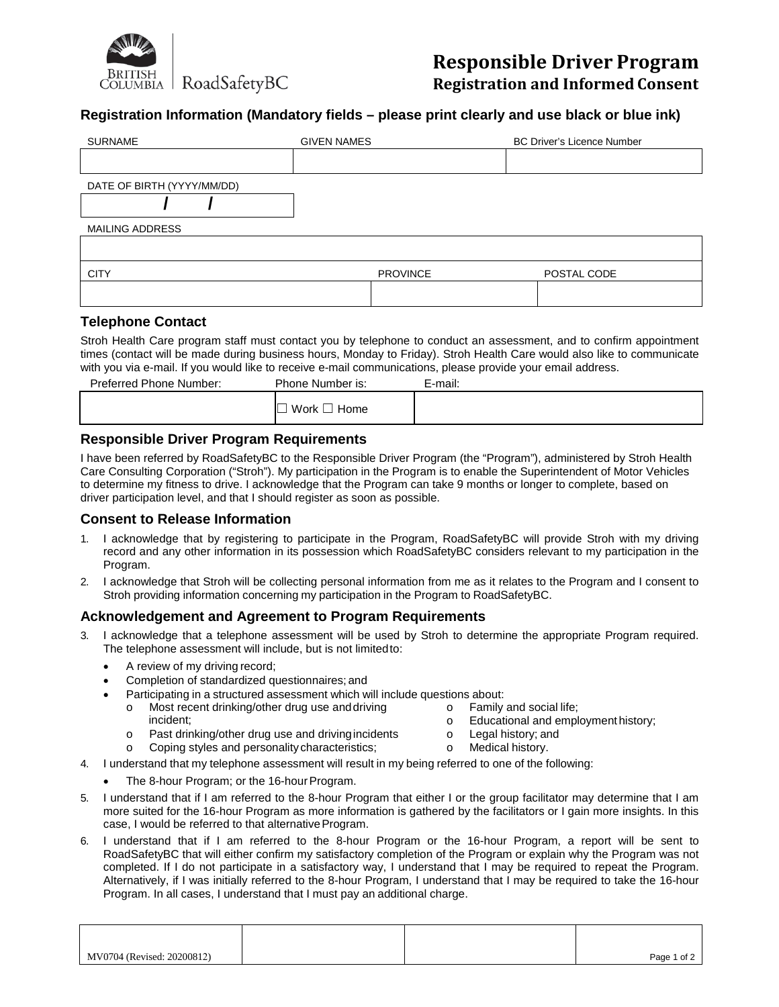

**Responsible Driver Program Registration and Informed Consent**

## **Registration Information (Mandatory fields – please print clearly and use black or blue ink)**

| <b>SURNAME</b>             | <b>GIVEN NAMES</b> | <b>BC Driver's Licence Number</b> |
|----------------------------|--------------------|-----------------------------------|
|                            |                    |                                   |
| DATE OF BIRTH (YYYY/MM/DD) |                    |                                   |
|                            |                    |                                   |
| <b>MAILING ADDRESS</b>     |                    |                                   |
|                            |                    |                                   |
| <b>CITY</b>                | <b>PROVINCE</b>    | POSTAL CODE                       |
|                            |                    |                                   |

#### **Telephone Contact**

Stroh Health Care program staff must contact you by telephone to conduct an assessment, and to confirm appointment times (contact will be made during business hours, Monday to Friday). Stroh Health Care would also like to communicate with you via e-mail. If you would like to receive e-mail communications, please provide your email address.

| Preferred Phone Number: | Phone Number is: | E-mail: |
|-------------------------|------------------|---------|
|                         | Work<br>Home     |         |
|                         |                  |         |

### **Responsible Driver Program Requirements**

I have been referred by RoadSafetyBC to the Responsible Driver Program (the "Program"), administered by Stroh Health Care Consulting Corporation ("Stroh"). My participation in the Program is to enable the Superintendent of Motor Vehicles to determine my fitness to drive. I acknowledge that the Program can take 9 months or longer to complete, based on driver participation level, and that I should register as soon as possible.

#### **Consent to Release Information**

- 1. I acknowledge that by registering to participate in the Program, RoadSafetyBC will provide Stroh with my driving record and any other information in its possession which RoadSafetyBC considers relevant to my participation in the Program.
- 2. I acknowledge that Stroh will be collecting personal information from me as it relates to the Program and I consent to Stroh providing information concerning my participation in the Program to RoadSafetyBC.

### **Acknowledgement and Agreement to Program Requirements**

- 3. I acknowledge that a telephone assessment will be used by Stroh to determine the appropriate Program required. The telephone assessment will include, but is not limitedto:
	- A review of my driving record;
	- Completion of standardized questionnaires; and
	- Participating in a structured assessment which will include questions about:
		- Most recent drinking/other drug use and driving incident; **o Educational and employment history; o Educational and employment history**;
			-
		- o Past drinking/other drug use and drivingincidents o Legal history; and
		- o Coping styles and personality characteristics; only and Medical history.
- 4. I understand that my telephone assessment will result in my being referred to one of the following:
	- The 8-hour Program; or the 16-hour Program.
- 5. I understand that if I am referred to the 8-hour Program that either I or the group facilitator may determine that I am more suited for the 16-hour Program as more information is gathered by the facilitators or I gain more insights. In this case, I would be referred to that alternative Program.
- 6. I understand that if I am referred to the 8-hour Program or the 16-hour Program, a report will be sent to RoadSafetyBC that will either confirm my satisfactory completion of the Program or explain why the Program was not completed. If I do not participate in a satisfactory way, I understand that I may be required to repeat the Program. Alternatively, if I was initially referred to the 8-hour Program, I understand that I may be required to take the 16-hour Program. In all cases, I understand that I must pay an additional charge.

| MV0704 (Revised: 20200812) |  | Page 1 of 2 |
|----------------------------|--|-------------|